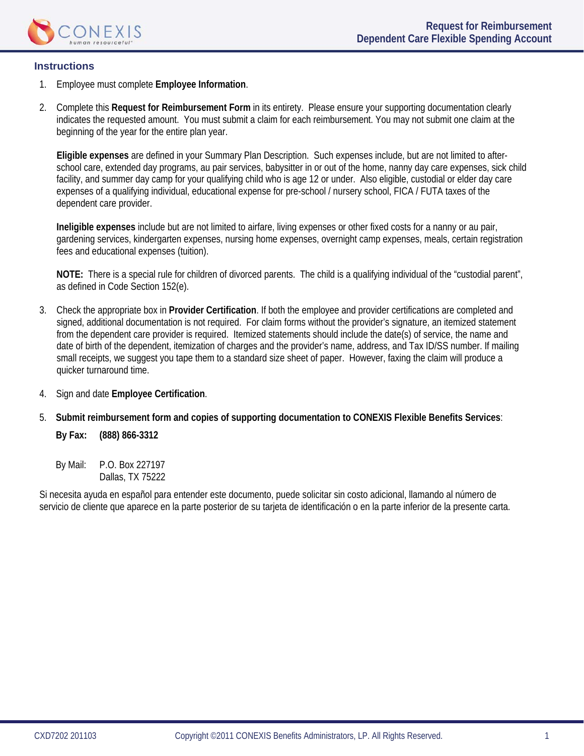

### **Instructions**

- 1. Employee must complete **Employee Information**.
- 2. Complete this **Request for Reimbursement Form** in its entirety. Please ensure your supporting documentation clearly indicates the requested amount. You must submit a claim for each reimbursement. You may not submit one claim at the beginning of the year for the entire plan year.

 **Eligible expenses** are defined in your Summary Plan Description. Such expenses include, but are not limited to afterschool care, extended day programs, au pair services, babysitter in or out of the home, nanny day care expenses, sick child facility, and summer day camp for your qualifying child who is age 12 or under. Also eligible, custodial or elder day care expenses of a qualifying individual, educational expense for pre-school / nursery school, FICA / FUTA taxes of the dependent care provider.

**Ineligible expenses** include but are not limited to airfare, living expenses or other fixed costs for a nanny or au pair, gardening services, kindergarten expenses, nursing home expenses, overnight camp expenses, meals, certain registration fees and educational expenses (tuition).

**NOTE:** There is a special rule for children of divorced parents. The child is a qualifying individual of the "custodial parent", as defined in Code Section 152(e).

- 3. Check the appropriate box in **Provider Certification**. If both the employee and provider certifications are completed and signed, additional documentation is not required. For claim forms without the provider's signature, an itemized statement from the dependent care provider is required. Itemized statements should include the date(s) of service, the name and date of birth of the dependent, itemization of charges and the provider's name, address, and Tax ID/SS number. If mailing small receipts, we suggest you tape them to a standard size sheet of paper. However, faxing the claim will produce a quicker turnaround time.
- 4. Sign and date **Employee Certification**.
- 5. **Submit reimbursement form and copies of supporting documentation to CONEXIS Flexible Benefits Services**:

**By Fax: (888) 866-3312** 

By Mail: P.O. Box 227197 Dallas, TX 75222

Si necesita ayuda en español para entender este documento, puede solicitar sin costo adicional, llamando al número de servicio de cliente que aparece en la parte posterior de su tarjeta de identificación o en la parte inferior de la presente carta.